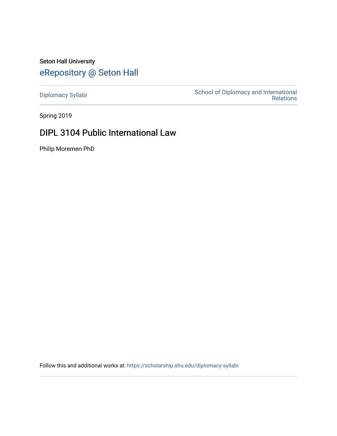# Seton Hall University [eRepository @ Seton Hall](https://scholarship.shu.edu/)

[Diplomacy Syllabi](https://scholarship.shu.edu/diplomacy-syllabi) [School of Diplomacy and International](https://scholarship.shu.edu/diplomacy)  [Relations](https://scholarship.shu.edu/diplomacy) 

Spring 2019

## DIPL 3104 Public International Law

Philip Moremen PhD

Follow this and additional works at: [https://scholarship.shu.edu/diplomacy-syllabi](https://scholarship.shu.edu/diplomacy-syllabi?utm_source=scholarship.shu.edu%2Fdiplomacy-syllabi%2F589&utm_medium=PDF&utm_campaign=PDFCoverPages)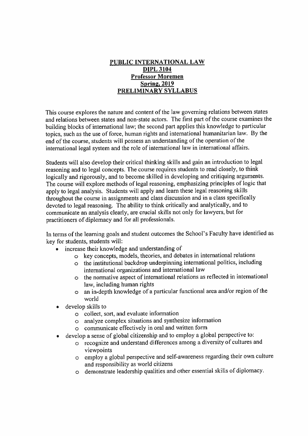## **PUBLIC INTERNATIONAL LAW DIPL 3104 Professor Moremen Spring. 2019 PRELIMINARY SYLLABUS**

This course explores the nature and content of the law governing relations between states and relations between states and non-state actors. The first par<sup>t</sup> of the course examines the building blocks of international law; the second par<sup>t</sup> applies this knowledge to particular topics, such as the use of force, human rights and international humanitarian law. By the end of the course, students will possess an understanding of the operation of the international legal system and the role of international law in international affairs.

Students will also develop their critical thinking skills and gain an introduction to legal reasoning and to legal concepts. The course requires students to read closely, to think logically and rigorously, and to become skilled in developing and critiquing arguments. The course will explore methods of legal reasoning, emphasizing principles of logic that apply to legal analysis. Students will apply and learn these legal reasoning skills throughout the course in assignments and class discussion and in <sup>a</sup> class specifically devoted to legal reasoning. The ability to think critically and analytically, and to communicate an analysis clearly, are crucial skills not only for lawyers, but for practitioners of diplomacy and for all professionals.

In terms of the learning goals and student outcomes the School's Faculty have identified as key for students, students will:

- • increase their knowledge and understanding of
	- <sup>o</sup> key concepts, models, theories, and debates in international relations
	- <sup>o</sup> the institutional backdrop underpinning international politics, including international organizations and international law
	- <sup>o</sup> the normative aspec<sup>t</sup> of international relations as reflected in international law, including human rights
	- <sup>o</sup> an in-depth knowledge of <sup>a</sup> particular functional area and/or region of the world
- • develop skills to
	- <sup>o</sup> collect, sort, and evaluate information
	- <sup>o</sup> analyze complex situations and synthesize information
	- <sup>o</sup> communicate effectively in oral and written form
- • develop <sup>a</sup> sense of global citizenship and to employ <sup>a</sup> global perspective to:
	- <sup>o</sup> recognize and understand differences among <sup>a</sup> diversity of cultures and viewpoints
	- <sup>o</sup> employ <sup>a</sup> <sup>g</sup>lobal perspective and self-awareness regarding their own culture and responsibility as world citizens
	- <sup>o</sup> demonstrate leadership qualities and other essential skills of diplomacy.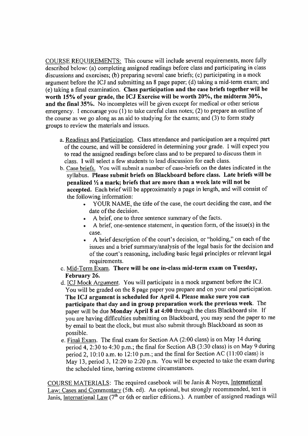COURSE REQUIREMENTS: This course will include several requirements, more fully described below: (a) completing assigned readings before class and participating in class discussions and exercises;**(b)** preparing several case briefs;(c) participating in <sup>a</sup> mock argumen<sup>t</sup> before the ICJ and submitting an 8 page paper; (d) taking <sup>a</sup> mid-term exam; and (e) taking <sup>a</sup> final examination. **Class participation and the case briefs together will be worth 15 % of your grade, the ICJ Exercise will be worth 20 %, the midterm 30 %, and the final 35 %.** No incompletes will be <sup>g</sup>iven excep<sup>t</sup> for medical or other serious emergency. I encourage you  $(1)$  to take careful class notes; (2) to prepare an outline of the course as we go along as an aid to studying for the exams; and (3) to form study groups to review the materials and issues.

- a. Readings and Participation. Class attendance and participation are a required part of the course, and will be considered in determining your grade. I will expec<sup>t</sup> you to read the assigned readings before class and to be prepare<sup>d</sup> to discuss them in class. 1 will select <sup>a</sup> few students to lead discussion for each class.
- b. Case briefs. You will submit <sup>a</sup> number of case-briefs on the dates indicated in the syllabus. **Please submit briefs on Blackboard before class. Late briefs will be penalized** *Vi* **<sup>a</sup> mark; briefs that are more than <sup>a</sup> week late will not be accepted.** Each brief will be approximately <sup>a</sup> page in length, and will consist of the following information:
	- YOUR NAME, the title of the case, the court deciding the case, and the date of the decision.
	- <sup>A</sup> brief, one to three sentence summary of the facts.
	- <sup>A</sup> brief, one-sentence statement, in question form, of the issue(s) in the case.
	- A brief description of the court'<sup>s</sup> decision, or "holding," on each of the issues and <sup>a</sup> brief summary/analysis of the legal basis for the decision and of the court's reasoning, including basic legal principles or relevant legal requirements.
- <sup>c</sup>. Mid-Term Exam. **There will be one in-class mid-term exam on Tuesday, February 26.**
- d. ICJ Mock Argument. You will participate in a mock argument before the ICJ. You will be graded on the <sup>8</sup> page paper you prepare and on your oral participation. **The ICJ argument is scheduled for April 4. Please make sure you can participate that day and in group preparation work the previous week.** The paper will be due **Monday April 8 at <sup>4</sup>:00** through the class Blackboard site. If you are having difficulties submitting on Blackboard, you may send the paper to me by email to beat the clock, but must also submit through Blackboard as soon as possible.
- e. Final Exam. The final exam for Section AA (2:00 class) is on May 14 during period 4, 2:30 to 4:30 p.m.; the final for Section AB (3:30 class) is on May 9 during period 2, 10:10 a.m. to 12:10 p.m.; and the final for Section AC (11:00 class) is May 13, period 3, 12:20 to 2:20 <sup>p</sup>.m. You will be expected to take the exam during the scheduled time, barring extreme circumstances.

COURSE MATERIALS: The required casebook will be Janis & Noyes, International Law: Cases and Commentary (5th. ed). An optional, but strongly recommended, text is Janis, International Law (7<sup>th</sup> or 6th or earlier editions.). A number of assigned readings will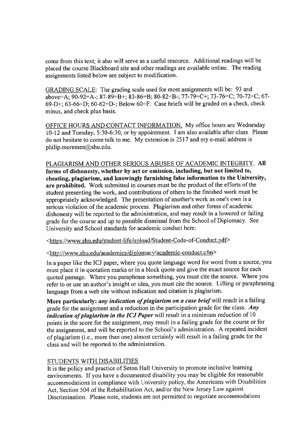come from this text; it also will serve as <sup>a</sup> useful resource. Additional readings will be <sup>p</sup>laced the course Blackboard site and other readings are available online. The reading assignments listed below are subject to modification.

GRADING SCALE: The grading scale used for most assignments will be: 93 and above=A;  $90-92=A-$ ; 87-89=B+; 83-86=B; 80-82=B-; 77-79=C+; 73-76=C; 70-72=C; 67-69-D+; 63-66=D; 60-62=D-; Below 60=F. Case briefs will be graded on a check, check minus, and check plus basis.

OFFICE HOURS AND CONTACT INFORMATION. My office hours are Wednesday 10-12 and Tuesday, 5:30-6:30, or by appointment. <sup>I</sup> am also available after class. Please do not hesitate to come talk to me. My extension is 2517 and my e-mail address is philip.moremen@shu.edu.

#### PLAGIARISM AND OTHER SERIOUS ABUSES OF ACADEMIC INTEGRITY. All

**forms of dishonesty, whether by act or omission, including, but not limited to, cheating, <sup>p</sup>lagiarism, and knowingly furnishing false information to the University, are prohibited.** Work submitted in courses must be the product of the efforts of the student presenting the work, and contributions of others to the finished work must be appropriately acknowledged. The presentation of another'<sup>s</sup> work as one'<sup>s</sup> own is <sup>a</sup> serious violation of the academic process. Plagiarism and other forms of academic dishonesty will be reported to the administration, and may result in <sup>a</sup> lowered or failing grade for the course and up to possible dismissal from the School of Diplomacy. See University and School standards for academic conduct here:

<sup>&</sup>lt;https://www.shu.edu/student-life/upload/Student-Code-of-Conduct.pdf<sup>&</sup>gt;

#### <sup>&</sup>lt;http://www.shu.edu/academics/diplomacv/academic-conduct.cfm<sup>&</sup>gt;

In <sup>a</sup> paper like the ICJ paper, where you quote language word for word from <sup>a</sup> source, you must <sup>p</sup>lace it in quotation marks or in <sup>a</sup> block quote and <sup>g</sup>ive the exact source for each quoted passage. Where you paraphrase something, you must cite the source. Where you refer to or use an author'<sup>s</sup> insight or idea, you must cite the source. Lifting or paraphrasing language from <sup>a</sup> web site without indication and citation is <sup>p</sup>lagiarism.

**More particularly:** *any indication of <sup>p</sup>lagiarism on <sup>a</sup> case brief* will result in <sup>a</sup> failing grade for the assignment and <sup>a</sup> reduction in the participation grade for the class. *Any indication of <sup>p</sup>lagiarism in the ICJ Paper* will result in <sup>a</sup> minimum reduction of <sup>10</sup> points in the score for the assignment, may result in <sup>a</sup> failing grade for the course or for the assignment, and will be reported to the School'<sup>s</sup> administration. <sup>A</sup> repeated incident of <sup>p</sup>lagiarism (i.e., more than one) almost certainly will result in <sup>a</sup> failing grade for the class and will be reported to the administration.

## STUDENTS WITH DISABILITIES

It is the policy and practice of Seton Hall University to promote inclusive learning environments. If you have <sup>a</sup> documented disability you may be eligible for reasonable accommodations in compliance with University policy, the Americans with Disabilities Act, Section <sup>504</sup> of the Rehabilitation Act, and/or the New Jersey Law against Discrimination. Please note, students are not permitted to negotiate accommodations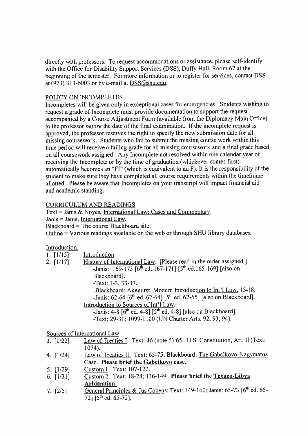directly with professors. To reques<sup>t</sup> accommodations or assistance, <sup>p</sup>lease self-identify with the Office for Disability Support Services (DSS), Duffy Hall, Room 67 at the beginning of the semester. For more information or to register for services, contact DSS at (973) 313-6003 or by e-mail at  $DSS@shu.edu$ .

## POLICY ON INCOMPLETES

Incompletes will be <sup>g</sup>iven only in exceptional cases for emergencies. Students wishing to reques<sup>t</sup> <sup>a</sup> grade of Incomplete must provide documentation to suppor<sup>t</sup> the reques<sup>t</sup> accompanied by <sup>a</sup> Course Adjustment Form (available from the Diplomacy Main Office) to the professor *before* the date of the final examination. If the incomplete reques<sup>t</sup> is approved, the professor reserves the right to specify the new submission date for all missing coursework. Students who fail to submit the missing course work within this time period will receive <sup>a</sup> failing grade for all missing coursework and <sup>a</sup> final grade based on all coursework assigned. Any Incomplete not resolved within one calendar year of receiving the Incomplete or by the time of graduation (whichever comes first) automatically becomes an "FI" (which is equivalent to an F). It is the responsibility of the student to make sure they have completed all course requirements within the timeframe allotted. Please be aware that Incompletes on your transcript will impact financial aid and academic standing.

## CURRICULUM AND READINGS

Text <sup>=</sup> Janis & Noyes, International Law: Cases and Commentary.

Janis <sup>=</sup> Janis, International Law.

Blackboard <sup>=</sup> The course Blackboard site.

Online <sup>=</sup> Various readings available on the web or through SHU library databases.

## Introduction.

| $1.$ [ $1/15$ ] | Introduction                                                                         |
|-----------------|--------------------------------------------------------------------------------------|
| $2.$ [ $1/17$ ] | History of International Law. [Please read in the order assigned.]                   |
|                 | -Janis: 169-173 [6 <sup>th</sup> ed. 167-171] [5 <sup>th</sup> ed. 165-169] [also on |
|                 | Blackboard].                                                                         |
|                 | -Text: 1-3, 33-37.                                                                   |
|                 | -Blackboard: Akehurst, Modern Introduction to Int'l Law, 15-18.                      |
|                 | -Janis: 62-64 $[6^{th}$ ed. 62-64] $[5^{th}$ ed. 62-65] [also on Blackboard].        |
|                 | Introduction to Sources of Int'l Law.                                                |
|                 | -Janis: 4-8 $[6^{th}$ ed. 4-8] $[5^{th}$ ed. 4-8] [also on Blackboard].              |
|                 | -Text: 29-31; 1099-1100 (UN Charter Arts. 92, 93, 94).                               |
|                 |                                                                                      |
|                 | $c \cdot \cdot \cdot$ $c \cdot \cdot \cdot$ $c \cdot \cdot \cdot$                    |

Sources of International Law

- Law of Treaties I. Text: 46 (note 5)-65. U.S. Constitution, Art. II (Text: 1074). 3. [1/22]
- Law of Treaties II. Text: 65-75; Blackboard: The Gabcikovo-Nagymaros Case. Please brief the Gabcikovo case. 4. [1/24]
- 5. [1/29] Custom 1. Text: 107-122.
- 6. [1/31] Custom 2. Text: 18-28; 136-149. Please brief the Texaco-Libva Arbitration.
- General Principles & Jus Cogens: Text: 149-160; Janis: 65-73 [6<sup>th</sup> ed. 65-72] [5<sup>th</sup> ed. 65-72]. 7. [2/5]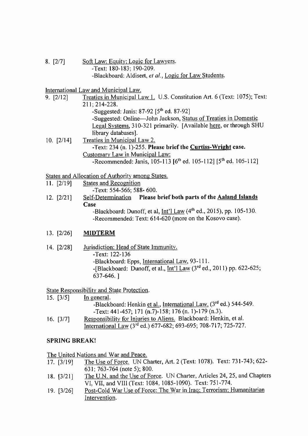Soft Law: Equity; Logic for Lawyers. -Text: 180-183; 190-209. -Blackboard: Aldisert, *el al.,* Logic for Law Students. 8. [277]

International Law and Municipal Law.

9. [2/12] Treaties in Municipal Law 1, U.S. Constitution Art. 6 (Text: 1075); Text: 211; 214-228.

-Suggested: Janis:  $87-92$   $[5<sup>th</sup>$  ed.  $87-92]$ 

-Suggested: Online—John Jackson, Status of Treaties in Domestic Legal Systems. 310-321 primarily. [Available here, or through SHU library databases].

10. [2/14] Treaties in Municipal Law 2. -Text: 234 **(<sup>n</sup>.** l)-255. **Please brief the Curtiss-Wright case.** Customary Law in Municipal Law:  $-Recommended: Janis, 105-113 [6<sup>th</sup> ed. 105-112] [5<sup>th</sup> ed. 105-112]$ 

States and Allocation of Authority among States.

11. [2/19] States and Recognition

-Text: 554-566; 588- 600.

Self-Determination **Please brief both parts of the Aaland Islands Case** 12**. [**2**/**21**]**

-Blackboard: Dunoff, et al, Int'l Law  $(4<sup>th</sup>$  ed., 2015), pp. 105-130. -Recommended: Text: 614-620 (more on the Kosovo case).

## 13. [2/26] **MIDTERM**

- 14. [2/28] Jurisdiction: Head of State Immunity.
	- -Text: 122-136

-Blackboard: Epps, International Law. 93-111.

-[Blackboard: Dunoff, et al., Int'l Law  $(3<sup>rd</sup>$  ed., 2011) pp. 622-625; 637-646. ]

State Responsibility and State Protection.

15. [3/5] In general. -Blackboard: Henkin et al., International Law. (3rd ed.) 544-549. -Text: 441-457; 171 (<sup>n</sup>.7)-158; 176 (n. 1)-179 (<sup>n</sup>.3). Responsibility for Injuries to Aliens. Blackboard: Henkin, et al. International Law (3<sup>rd</sup> ed.) 677-682; 693-695; 708-717; 725-727. 16. [3/7]

## **SPRING BREAK!**

The United Nations and War and Peace.

- The Use of Force. UN Charter, Art. 2 (Text: 1078). Text: 731-743; 622- 631; 763-764 (note 5); 800. 17. [3/19]
- The U.N. and the Use of Force. UN Charter, Articles 24, 25, and Chapters VI, VII, and VIII (Text: 1084, 1085-1090). Text: 751-774. 18. [3/21]
- Post-Cold War Use of Force: The War in Iraq; Terrorism: Humanitarian Intervention. 19. [3/26]